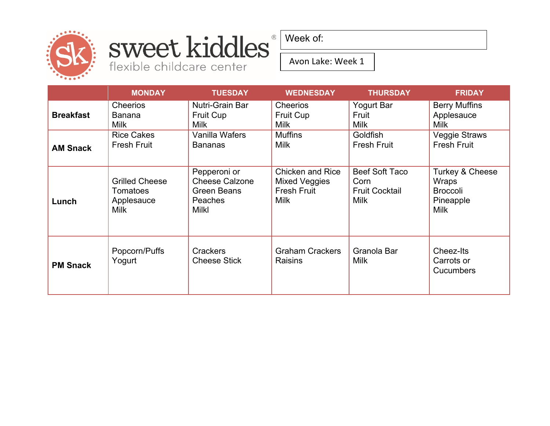

### sweet kiddles® flexible childcare center

Week of:

Avon Lake: Week 1

|                  | <b>MONDAY</b>                                                  | <b>TUESDAY</b>                                                                         | <b>WEDNESDAY</b>                                                       | <b>THURSDAY</b>                                                | <b>FRIDAY</b>                                                           |
|------------------|----------------------------------------------------------------|----------------------------------------------------------------------------------------|------------------------------------------------------------------------|----------------------------------------------------------------|-------------------------------------------------------------------------|
| <b>Breakfast</b> | <b>Cheerios</b><br><b>Banana</b><br>Milk                       | Nutri-Grain Bar<br><b>Fruit Cup</b><br><b>Milk</b>                                     | <b>Cheerios</b><br><b>Fruit Cup</b><br><b>Milk</b>                     | Yogurt Bar<br>Fruit<br><b>Milk</b>                             | <b>Berry Muffins</b><br>Applesauce<br><b>Milk</b>                       |
| <b>AM Snack</b>  | <b>Rice Cakes</b><br><b>Fresh Fruit</b>                        | Vanilla Wafers<br><b>Bananas</b>                                                       | <b>Muffins</b><br><b>Milk</b>                                          | Goldfish<br><b>Fresh Fruit</b>                                 | <b>Veggie Straws</b><br><b>Fresh Fruit</b>                              |
| Lunch            | <b>Grilled Cheese</b><br>Tomatoes<br>Applesauce<br><b>Milk</b> | Pepperoni or<br><b>Cheese Calzone</b><br><b>Green Beans</b><br>Peaches<br><b>Milkl</b> | <b>Chicken and Rice</b><br>Mixed Veggies<br>Fresh Fruit<br><b>Milk</b> | Beef Soft Taco<br>Corn<br><b>Fruit Cocktail</b><br><b>Milk</b> | Turkey & Cheese<br>Wraps<br><b>Broccoli</b><br>Pineapple<br><b>Milk</b> |
| <b>PM Snack</b>  | Popcorn/Puffs<br>Yogurt                                        | <b>Crackers</b><br><b>Cheese Stick</b>                                                 | <b>Graham Crackers</b><br><b>Raisins</b>                               | Granola Bar<br><b>Milk</b>                                     | Cheez-Its<br>Carrots or<br><b>Cucumbers</b>                             |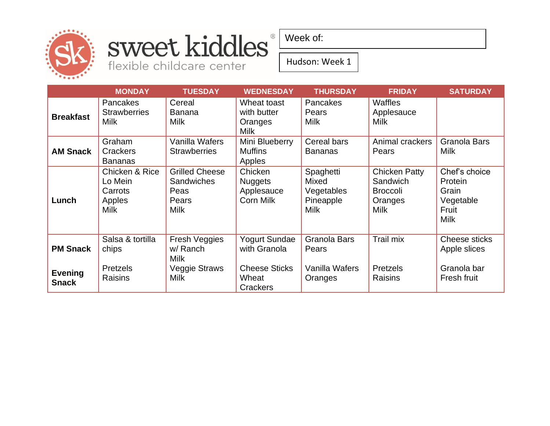

#### sweet kiddles® flexible childcare center

Week of:

Hudson: Week 1

|                                | <b>MONDAY</b>                                                 | <b>TUESDAY</b>                                                             | <b>WEDNESDAY</b>                                            | <b>THURSDAY</b>                                              | <b>FRIDAY</b>                                                          | <b>SATURDAY</b>                                                        |
|--------------------------------|---------------------------------------------------------------|----------------------------------------------------------------------------|-------------------------------------------------------------|--------------------------------------------------------------|------------------------------------------------------------------------|------------------------------------------------------------------------|
| <b>Breakfast</b>               | Pancakes<br><b>Strawberries</b><br><b>Milk</b>                | Cereal<br><b>Banana</b><br><b>Milk</b>                                     | Wheat toast<br>with butter<br>Oranges<br><b>Milk</b>        | <b>Pancakes</b><br>Pears<br><b>Milk</b>                      | Waffles<br>Applesauce<br><b>Milk</b>                                   |                                                                        |
| <b>AM Snack</b>                | Graham<br>Crackers<br><b>Bananas</b>                          | Vanilla Wafers<br><b>Strawberries</b>                                      | Mini Blueberry<br><b>Muffins</b><br>Apples                  | Cereal bars<br><b>Bananas</b>                                | Animal crackers<br>Pears                                               | Granola Bars<br>Milk                                                   |
| Lunch                          | Chicken & Rice<br>Lo Mein<br>Carrots<br>Apples<br><b>Milk</b> | <b>Grilled Cheese</b><br><b>Sandwiches</b><br>Peas<br>Pears<br><b>Milk</b> | Chicken<br><b>Nuggets</b><br>Applesauce<br><b>Corn Milk</b> | Spaghetti<br>Mixed<br>Vegetables<br>Pineapple<br><b>Milk</b> | Chicken Patty<br>Sandwich<br><b>Broccoli</b><br>Oranges<br><b>Milk</b> | Chef's choice<br>Protein<br>Grain<br>Vegetable<br>Fruit<br><b>Milk</b> |
| <b>PM Snack</b>                | Salsa & tortilla<br>chips                                     | <b>Fresh Veggies</b><br>w/ Ranch<br><b>Milk</b>                            | Yogurt Sundae<br>with Granola                               | Granola Bars<br>Pears                                        | Trail mix                                                              | Cheese sticks<br>Apple slices                                          |
| <b>Evening</b><br><b>Snack</b> | <b>Pretzels</b><br>Raisins                                    | <b>Veggie Straws</b><br><b>Milk</b>                                        | <b>Cheese Sticks</b><br>Wheat<br>Crackers                   | Vanilla Wafers<br>Oranges                                    | Pretzels<br>Raisins                                                    | Granola bar<br>Fresh fruit                                             |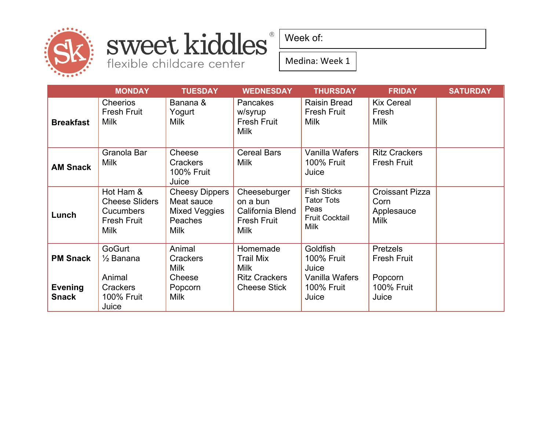

## sweet kiddles®

flexible childcare center

Week of:

Medina: Week 1

|                                | <b>MONDAY</b>                                                                               | <b>TUESDAY</b>                                                                        | <b>WEDNESDAY</b>                                                                  | <b>THURSDAY</b>                                                                         | <b>FRIDAY</b>                                               | <b>SATURDAY</b> |
|--------------------------------|---------------------------------------------------------------------------------------------|---------------------------------------------------------------------------------------|-----------------------------------------------------------------------------------|-----------------------------------------------------------------------------------------|-------------------------------------------------------------|-----------------|
| <b>Breakfast</b>               | <b>Cheerios</b><br><b>Fresh Fruit</b><br><b>Milk</b>                                        | Banana &<br>Yogurt<br><b>Milk</b>                                                     | <b>Pancakes</b><br>w/syrup<br><b>Fresh Fruit</b><br><b>Milk</b>                   | <b>Raisin Bread</b><br><b>Fresh Fruit</b><br><b>Milk</b>                                | <b>Kix Cereal</b><br>Fresh<br><b>Milk</b>                   |                 |
| <b>AM Snack</b>                | Granola Bar<br><b>Milk</b>                                                                  | Cheese<br><b>Crackers</b><br><b>100% Fruit</b><br>Juice                               | <b>Cereal Bars</b><br><b>Milk</b>                                                 | Vanilla Wafers<br><b>100% Fruit</b><br>Juice                                            | <b>Ritz Crackers</b><br><b>Fresh Fruit</b>                  |                 |
| Lunch                          | Hot Ham &<br><b>Cheese Sliders</b><br><b>Cucumbers</b><br><b>Fresh Fruit</b><br><b>Milk</b> | <b>Cheesy Dippers</b><br>Meat sauce<br>Mixed Veggies<br><b>Peaches</b><br><b>Milk</b> | Cheeseburger<br>on a bun<br>California Blend<br><b>Fresh Fruit</b><br><b>Milk</b> | <b>Fish Sticks</b><br><b>Tator Tots</b><br>Peas<br><b>Fruit Cocktail</b><br><b>Milk</b> | <b>Croissant Pizza</b><br>Corn<br>Applesauce<br><b>Milk</b> |                 |
| <b>PM Snack</b>                | GoGurt<br>$\frac{1}{2}$ Banana                                                              | Animal<br><b>Crackers</b><br><b>Milk</b>                                              | Homemade<br><b>Trail Mix</b><br><b>Milk</b>                                       | Goldfish<br><b>100% Fruit</b><br>Juice                                                  | <b>Pretzels</b><br><b>Fresh Fruit</b>                       |                 |
| <b>Evening</b><br><b>Snack</b> | Animal<br><b>Crackers</b><br><b>100% Fruit</b><br>Juice                                     | Cheese<br>Popcorn<br><b>Milk</b>                                                      | <b>Ritz Crackers</b><br><b>Cheese Stick</b>                                       | Vanilla Wafers<br><b>100% Fruit</b><br>Juice                                            | Popcorn<br><b>100% Fruit</b><br>Juice                       |                 |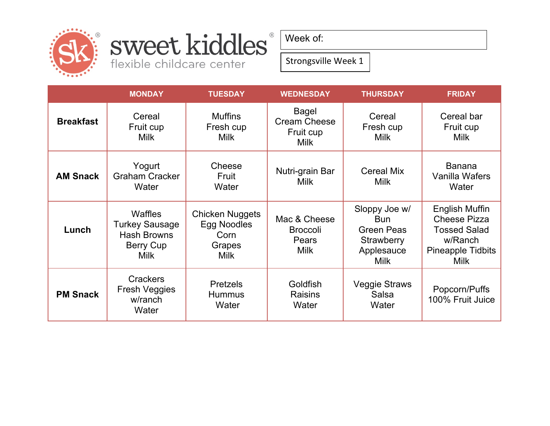

# sweet kiddles®

flexible childcare center

Week of:

Strongsville Week 1

|                  | <b>MONDAY</b>                                                                             | <b>TUESDAY</b>                                                         | <b>WEDNESDAY</b>                                                | <b>THURSDAY</b>                                                                             | <b>FRIDAY</b>                                                                                                      |
|------------------|-------------------------------------------------------------------------------------------|------------------------------------------------------------------------|-----------------------------------------------------------------|---------------------------------------------------------------------------------------------|--------------------------------------------------------------------------------------------------------------------|
| <b>Breakfast</b> | Cereal<br>Fruit cup<br><b>Milk</b>                                                        | <b>Muffins</b><br>Fresh cup<br><b>Milk</b>                             | <b>Bagel</b><br><b>Cream Cheese</b><br>Fruit cup<br><b>Milk</b> | Cereal<br>Fresh cup<br><b>Milk</b>                                                          | Cereal bar<br>Fruit cup<br><b>Milk</b>                                                                             |
| <b>AM Snack</b>  | Yogurt<br><b>Graham Cracker</b><br>Water                                                  | Cheese<br>Fruit<br>Water                                               | Nutri-grain Bar<br><b>Milk</b>                                  | <b>Cereal Mix</b><br><b>Milk</b>                                                            | <b>Banana</b><br>Vanilla Wafers<br>Water                                                                           |
| Lunch            | <b>Waffles</b><br><b>Turkey Sausage</b><br><b>Hash Browns</b><br>Berry Cup<br><b>Milk</b> | <b>Chicken Nuggets</b><br>Egg Noodles<br>Corn<br>Grapes<br><b>Milk</b> | Mac & Cheese<br><b>Broccoli</b><br>Pears<br><b>Milk</b>         | Sloppy Joe w/<br><b>Bun</b><br><b>Green Peas</b><br>Strawberry<br>Applesauce<br><b>Milk</b> | English Muffin<br><b>Cheese Pizza</b><br><b>Tossed Salad</b><br>w/Ranch<br><b>Pineapple Tidbits</b><br><b>Milk</b> |
| <b>PM Snack</b>  | <b>Crackers</b><br><b>Fresh Veggies</b><br>w/ranch<br>Water                               | <b>Pretzels</b><br><b>Hummus</b><br>Water                              | Goldfish<br><b>Raisins</b><br>Water                             | <b>Veggie Straws</b><br>Salsa<br>Water                                                      | Popcorn/Puffs<br>100% Fruit Juice                                                                                  |